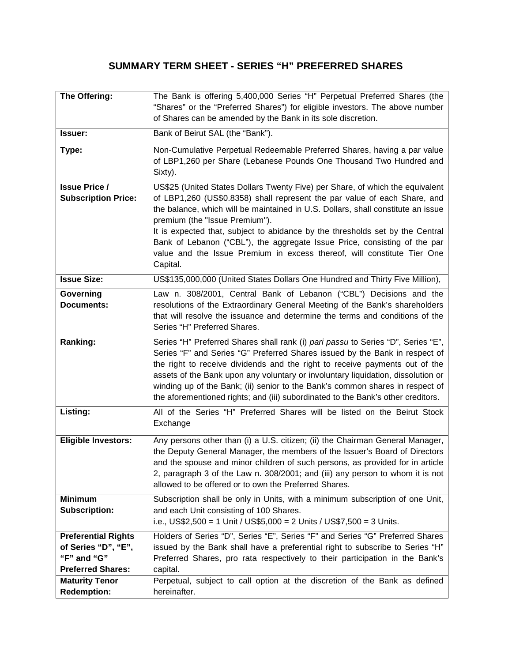## **SUMMARY TERM SHEET - SERIES "H" PREFERRED SHARES**

| The Offering:                                                                                | The Bank is offering 5,400,000 Series "H" Perpetual Preferred Shares (the<br>"Shares" or the "Preferred Shares") for eligible investors. The above number<br>of Shares can be amended by the Bank in its sole discretion.                                                                                                                                                                                                                                                                                                             |
|----------------------------------------------------------------------------------------------|---------------------------------------------------------------------------------------------------------------------------------------------------------------------------------------------------------------------------------------------------------------------------------------------------------------------------------------------------------------------------------------------------------------------------------------------------------------------------------------------------------------------------------------|
| <b>Issuer:</b>                                                                               | Bank of Beirut SAL (the "Bank").                                                                                                                                                                                                                                                                                                                                                                                                                                                                                                      |
| Type:                                                                                        | Non-Cumulative Perpetual Redeemable Preferred Shares, having a par value<br>of LBP1,260 per Share (Lebanese Pounds One Thousand Two Hundred and<br>Sixty).                                                                                                                                                                                                                                                                                                                                                                            |
| <b>Issue Price /</b><br><b>Subscription Price:</b>                                           | US\$25 (United States Dollars Twenty Five) per Share, of which the equivalent<br>of LBP1,260 (US\$0.8358) shall represent the par value of each Share, and<br>the balance, which will be maintained in U.S. Dollars, shall constitute an issue<br>premium (the "Issue Premium").<br>It is expected that, subject to abidance by the thresholds set by the Central<br>Bank of Lebanon ("CBL"), the aggregate Issue Price, consisting of the par<br>value and the Issue Premium in excess thereof, will constitute Tier One<br>Capital. |
| <b>Issue Size:</b>                                                                           | US\$135,000,000 (United States Dollars One Hundred and Thirty Five Million),                                                                                                                                                                                                                                                                                                                                                                                                                                                          |
| Governing<br><b>Documents:</b>                                                               | Law n. 308/2001, Central Bank of Lebanon ("CBL") Decisions and the<br>resolutions of the Extraordinary General Meeting of the Bank's shareholders<br>that will resolve the issuance and determine the terms and conditions of the<br>Series "H" Preferred Shares.                                                                                                                                                                                                                                                                     |
| Ranking:                                                                                     | Series "H" Preferred Shares shall rank (i) pari passu to Series "D", Series "E",<br>Series "F" and Series "G" Preferred Shares issued by the Bank in respect of<br>the right to receive dividends and the right to receive payments out of the<br>assets of the Bank upon any voluntary or involuntary liquidation, dissolution or<br>winding up of the Bank; (ii) senior to the Bank's common shares in respect of<br>the aforementioned rights; and (iii) subordinated to the Bank's other creditors.                               |
| Listing:                                                                                     | All of the Series "H" Preferred Shares will be listed on the Beirut Stock<br>Exchange                                                                                                                                                                                                                                                                                                                                                                                                                                                 |
| <b>Eligible Investors:</b>                                                                   | Any persons other than (i) a U.S. citizen; (ii) the Chairman General Manager,<br>the Deputy General Manager, the members of the Issuer's Board of Directors<br>and the spouse and minor children of such persons, as provided for in article<br>2, paragraph 3 of the Law n. 308/2001; and (iii) any person to whom it is not<br>allowed to be offered or to own the Preferred Shares.                                                                                                                                                |
| <b>Minimum</b><br><b>Subscription:</b>                                                       | Subscription shall be only in Units, with a minimum subscription of one Unit,<br>and each Unit consisting of 100 Shares.<br>i.e., US\$2,500 = 1 Unit / US\$5,000 = 2 Units / US\$7,500 = 3 Units.                                                                                                                                                                                                                                                                                                                                     |
| <b>Preferential Rights</b><br>of Series "D", "E",<br>"F" and "G"<br><b>Preferred Shares:</b> | Holders of Series "D", Series "E", Series "F" and Series "G" Preferred Shares<br>issued by the Bank shall have a preferential right to subscribe to Series "H"<br>Preferred Shares, pro rata respectively to their participation in the Bank's<br>capital.                                                                                                                                                                                                                                                                            |
| <b>Maturity Tenor</b><br><b>Redemption:</b>                                                  | Perpetual, subject to call option at the discretion of the Bank as defined<br>hereinafter.                                                                                                                                                                                                                                                                                                                                                                                                                                            |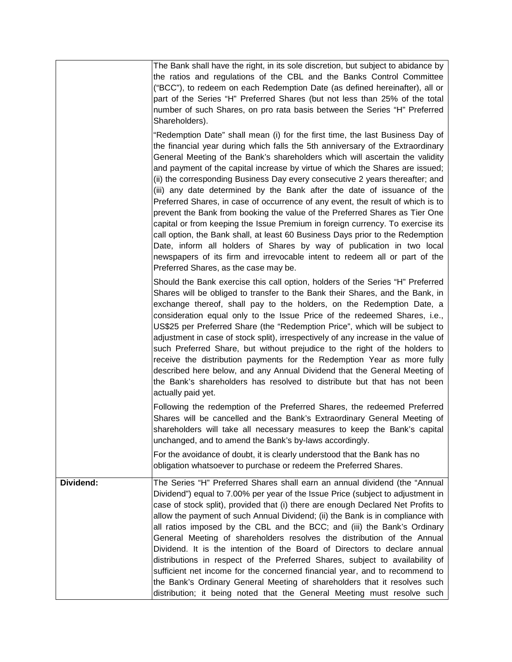|           | The Bank shall have the right, in its sole discretion, but subject to abidance by<br>the ratios and regulations of the CBL and the Banks Control Committee<br>("BCC"), to redeem on each Redemption Date (as defined hereinafter), all or<br>part of the Series "H" Preferred Shares (but not less than 25% of the total<br>number of such Shares, on pro rata basis between the Series "H" Preferred<br>Shareholders).                                                                                                                                                                                                                                                                                                                                                                                                                                                                                                                                                                                                            |
|-----------|------------------------------------------------------------------------------------------------------------------------------------------------------------------------------------------------------------------------------------------------------------------------------------------------------------------------------------------------------------------------------------------------------------------------------------------------------------------------------------------------------------------------------------------------------------------------------------------------------------------------------------------------------------------------------------------------------------------------------------------------------------------------------------------------------------------------------------------------------------------------------------------------------------------------------------------------------------------------------------------------------------------------------------|
|           | "Redemption Date" shall mean (i) for the first time, the last Business Day of<br>the financial year during which falls the 5th anniversary of the Extraordinary<br>General Meeting of the Bank's shareholders which will ascertain the validity<br>and payment of the capital increase by virtue of which the Shares are issued;<br>(ii) the corresponding Business Day every consecutive 2 years thereafter; and<br>(iii) any date determined by the Bank after the date of issuance of the<br>Preferred Shares, in case of occurrence of any event, the result of which is to<br>prevent the Bank from booking the value of the Preferred Shares as Tier One<br>capital or from keeping the Issue Premium in foreign currency. To exercise its<br>call option, the Bank shall, at least 60 Business Days prior to the Redemption<br>Date, inform all holders of Shares by way of publication in two local<br>newspapers of its firm and irrevocable intent to redeem all or part of the<br>Preferred Shares, as the case may be. |
|           | Should the Bank exercise this call option, holders of the Series "H" Preferred<br>Shares will be obliged to transfer to the Bank their Shares, and the Bank, in<br>exchange thereof, shall pay to the holders, on the Redemption Date, a<br>consideration equal only to the Issue Price of the redeemed Shares, i.e.,<br>US\$25 per Preferred Share (the "Redemption Price", which will be subject to<br>adjustment in case of stock split), irrespectively of any increase in the value of<br>such Preferred Share, but without prejudice to the right of the holders to<br>receive the distribution payments for the Redemption Year as more fully<br>described here below, and any Annual Dividend that the General Meeting of<br>the Bank's shareholders has resolved to distribute but that has not been<br>actually paid yet.                                                                                                                                                                                                |
|           | Following the redemption of the Preferred Shares, the redeemed Preferred<br>Shares will be cancelled and the Bank's Extraordinary General Meeting of<br>shareholders will take all necessary measures to keep the Bank's capital<br>unchanged, and to amend the Bank's by-laws accordingly.<br>For the avoidance of doubt, it is clearly understood that the Bank has no                                                                                                                                                                                                                                                                                                                                                                                                                                                                                                                                                                                                                                                           |
|           | obligation whatsoever to purchase or redeem the Preferred Shares.                                                                                                                                                                                                                                                                                                                                                                                                                                                                                                                                                                                                                                                                                                                                                                                                                                                                                                                                                                  |
| Dividend: | The Series "H" Preferred Shares shall earn an annual dividend (the "Annual<br>Dividend") equal to 7.00% per year of the Issue Price (subject to adjustment in<br>case of stock split), provided that (i) there are enough Declared Net Profits to<br>allow the payment of such Annual Dividend; (ii) the Bank is in compliance with<br>all ratios imposed by the CBL and the BCC; and (iii) the Bank's Ordinary<br>General Meeting of shareholders resolves the distribution of the Annual<br>Dividend. It is the intention of the Board of Directors to declare annual<br>distributions in respect of the Preferred Shares, subject to availability of<br>sufficient net income for the concerned financial year, and to recommend to<br>the Bank's Ordinary General Meeting of shareholders that it resolves such<br>distribution; it being noted that the General Meeting must resolve such                                                                                                                                     |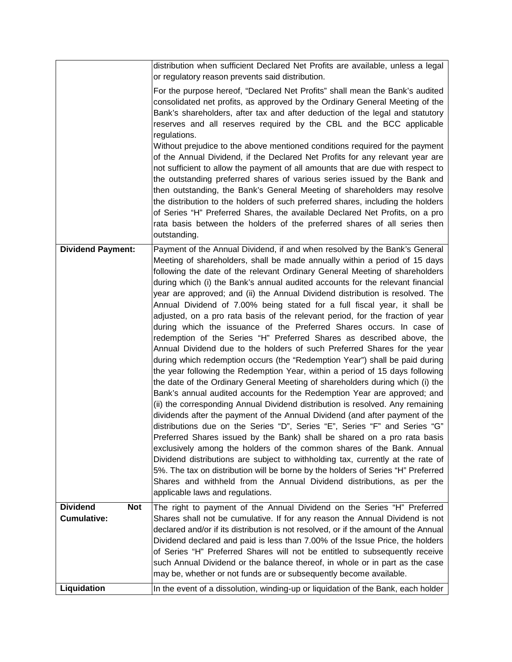|                                                     | distribution when sufficient Declared Net Profits are available, unless a legal<br>or regulatory reason prevents said distribution.                                                                                                                                                                                                                                                                                                                                                                                                                                                                                                                                                                                                                                                                                                                                                                                                                                                                                                                                                                                                                                                                                                                                                                                                                                                                                                                                                                                                                                                                                                                                                                                                                                                                                           |
|-----------------------------------------------------|-------------------------------------------------------------------------------------------------------------------------------------------------------------------------------------------------------------------------------------------------------------------------------------------------------------------------------------------------------------------------------------------------------------------------------------------------------------------------------------------------------------------------------------------------------------------------------------------------------------------------------------------------------------------------------------------------------------------------------------------------------------------------------------------------------------------------------------------------------------------------------------------------------------------------------------------------------------------------------------------------------------------------------------------------------------------------------------------------------------------------------------------------------------------------------------------------------------------------------------------------------------------------------------------------------------------------------------------------------------------------------------------------------------------------------------------------------------------------------------------------------------------------------------------------------------------------------------------------------------------------------------------------------------------------------------------------------------------------------------------------------------------------------------------------------------------------------|
|                                                     | For the purpose hereof, "Declared Net Profits" shall mean the Bank's audited<br>consolidated net profits, as approved by the Ordinary General Meeting of the<br>Bank's shareholders, after tax and after deduction of the legal and statutory<br>reserves and all reserves required by the CBL and the BCC applicable<br>regulations.<br>Without prejudice to the above mentioned conditions required for the payment<br>of the Annual Dividend, if the Declared Net Profits for any relevant year are<br>not sufficient to allow the payment of all amounts that are due with respect to<br>the outstanding preferred shares of various series issued by the Bank and<br>then outstanding, the Bank's General Meeting of shareholders may resolve<br>the distribution to the holders of such preferred shares, including the holders<br>of Series "H" Preferred Shares, the available Declared Net Profits, on a pro<br>rata basis between the holders of the preferred shares of all series then<br>outstanding.                                                                                                                                                                                                                                                                                                                                                                                                                                                                                                                                                                                                                                                                                                                                                                                                            |
| <b>Dividend Payment:</b>                            | Payment of the Annual Dividend, if and when resolved by the Bank's General<br>Meeting of shareholders, shall be made annually within a period of 15 days<br>following the date of the relevant Ordinary General Meeting of shareholders<br>during which (i) the Bank's annual audited accounts for the relevant financial<br>year are approved; and (ii) the Annual Dividend distribution is resolved. The<br>Annual Dividend of 7.00% being stated for a full fiscal year, it shall be<br>adjusted, on a pro rata basis of the relevant period, for the fraction of year<br>during which the issuance of the Preferred Shares occurs. In case of<br>redemption of the Series "H" Preferred Shares as described above, the<br>Annual Dividend due to the holders of such Preferred Shares for the year<br>during which redemption occurs (the "Redemption Year") shall be paid during<br>the year following the Redemption Year, within a period of 15 days following<br>the date of the Ordinary General Meeting of shareholders during which (i) the<br>Bank's annual audited accounts for the Redemption Year are approved; and<br>(ii) the corresponding Annual Dividend distribution is resolved. Any remaining<br>dividends after the payment of the Annual Dividend (and after payment of the<br>distributions due on the Series "D", Series "E", Series "F" and Series "G"<br>Preferred Shares issued by the Bank) shall be shared on a pro rata basis<br>exclusively among the holders of the common shares of the Bank. Annual<br>Dividend distributions are subject to withholding tax, currently at the rate of<br>5%. The tax on distribution will be borne by the holders of Series "H" Preferred<br>Shares and withheld from the Annual Dividend distributions, as per the<br>applicable laws and regulations. |
| <b>Dividend</b><br><b>Not</b><br><b>Cumulative:</b> | The right to payment of the Annual Dividend on the Series "H" Preferred<br>Shares shall not be cumulative. If for any reason the Annual Dividend is not<br>declared and/or if its distribution is not resolved, or if the amount of the Annual<br>Dividend declared and paid is less than 7.00% of the Issue Price, the holders<br>of Series "H" Preferred Shares will not be entitled to subsequently receive<br>such Annual Dividend or the balance thereof, in whole or in part as the case<br>may be, whether or not funds are or subsequently become available.                                                                                                                                                                                                                                                                                                                                                                                                                                                                                                                                                                                                                                                                                                                                                                                                                                                                                                                                                                                                                                                                                                                                                                                                                                                          |
| Liquidation                                         | In the event of a dissolution, winding-up or liquidation of the Bank, each holder                                                                                                                                                                                                                                                                                                                                                                                                                                                                                                                                                                                                                                                                                                                                                                                                                                                                                                                                                                                                                                                                                                                                                                                                                                                                                                                                                                                                                                                                                                                                                                                                                                                                                                                                             |